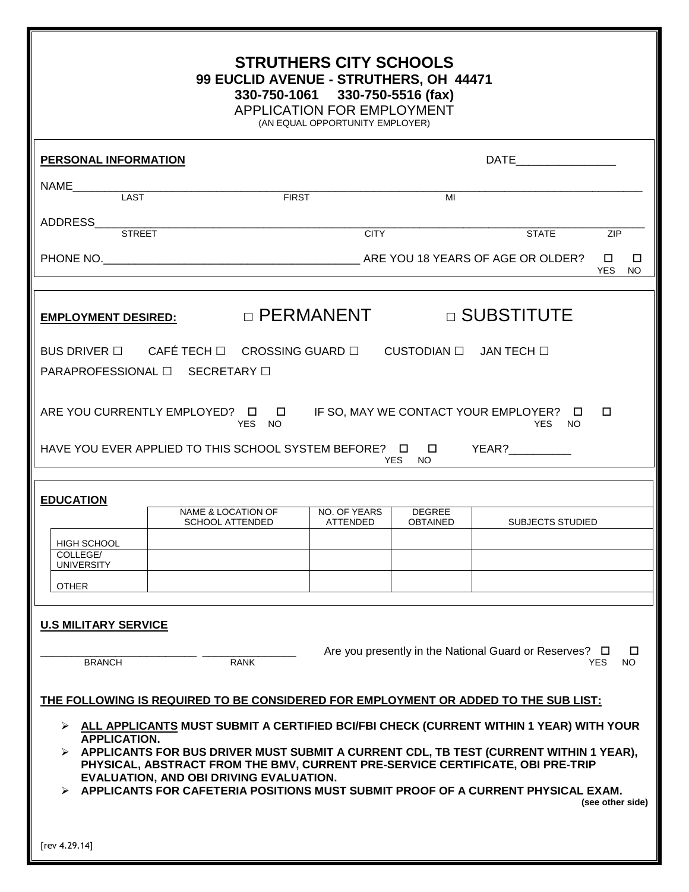| <b>STRUTHERS CITY SCHOOLS</b><br>99 EUCLID AVENUE - STRUTHERS, OH 44471<br>330-750-1061 330-750-5516 (fax)<br><b>APPLICATION FOR EMPLOYMENT</b><br>(AN EQUAL OPPORTUNITY EMPLOYER)                                                                                                                                                                                                                                                                                                                                                                    |                            |  |  |  |  |  |  |  |  |
|-------------------------------------------------------------------------------------------------------------------------------------------------------------------------------------------------------------------------------------------------------------------------------------------------------------------------------------------------------------------------------------------------------------------------------------------------------------------------------------------------------------------------------------------------------|----------------------------|--|--|--|--|--|--|--|--|
| <b>PERSONAL INFORMATION</b>                                                                                                                                                                                                                                                                                                                                                                                                                                                                                                                           | DATE____________________   |  |  |  |  |  |  |  |  |
| <b>NAME</b><br>LAST<br><b>FIRST</b><br>MI                                                                                                                                                                                                                                                                                                                                                                                                                                                                                                             |                            |  |  |  |  |  |  |  |  |
| ADDRESS<br><b>CITY</b><br><b>STREET</b>                                                                                                                                                                                                                                                                                                                                                                                                                                                                                                               | <b>STATE</b><br><b>ZIP</b> |  |  |  |  |  |  |  |  |
| PHONE NO. ARE YOU 18 YEARS OF AGE OR OLDER?                                                                                                                                                                                                                                                                                                                                                                                                                                                                                                           | □<br>□<br><b>YES</b><br>NO |  |  |  |  |  |  |  |  |
| $\Box$ PERMANENT<br>□ SUBSTITUTE<br><b>EMPLOYMENT DESIRED:</b>                                                                                                                                                                                                                                                                                                                                                                                                                                                                                        |                            |  |  |  |  |  |  |  |  |
| BUS DRIVER □ CAFÉ TECH □ CROSSING GUARD □ CUSTODIAN □ JAN TECH □<br>PARAPROFESSIONAL □ SECRETARY □                                                                                                                                                                                                                                                                                                                                                                                                                                                    |                            |  |  |  |  |  |  |  |  |
| ARE YOU CURRENTLY EMPLOYED? $\Box$ IF SO, MAY WE CONTACT YOUR EMPLOYER? $\Box$<br>□<br>YES NO<br>YES NO<br>HAVE YOU EVER APPLIED TO THIS SCHOOL SYSTEM BEFORE? □ □ YEAR?                                                                                                                                                                                                                                                                                                                                                                              |                            |  |  |  |  |  |  |  |  |
| YES.<br>NO.                                                                                                                                                                                                                                                                                                                                                                                                                                                                                                                                           |                            |  |  |  |  |  |  |  |  |
| <b>EDUCATION</b><br><b>NAME &amp; LOCATION OF</b><br>NO. OF YEARS<br><b>DEGREE</b><br><b>OBTAINED</b><br><b>SCHOOL ATTENDED</b><br><b>ATTENDED</b>                                                                                                                                                                                                                                                                                                                                                                                                    | <b>SUBJECTS STUDIED</b>    |  |  |  |  |  |  |  |  |
| HIGH SCHOOL<br>COLLEGE/<br><b>UNIVERSITY</b>                                                                                                                                                                                                                                                                                                                                                                                                                                                                                                          |                            |  |  |  |  |  |  |  |  |
| <b>OTHER</b>                                                                                                                                                                                                                                                                                                                                                                                                                                                                                                                                          |                            |  |  |  |  |  |  |  |  |
| <b>U.S MILITARY SERVICE</b><br>Are you presently in the National Guard or Reserves? $\Box$<br>□<br><b>BRANCH</b><br><b>RANK</b><br>YES.<br>NO.                                                                                                                                                                                                                                                                                                                                                                                                        |                            |  |  |  |  |  |  |  |  |
| THE FOLLOWING IS REQUIRED TO BE CONSIDERED FOR EMPLOYMENT OR ADDED TO THE SUB LIST:<br>> ALL APPLICANTS MUST SUBMIT A CERTIFIED BCI/FBI CHECK (CURRENT WITHIN 1 YEAR) WITH YOUR<br><b>APPLICATION.</b><br>APPLICANTS FOR BUS DRIVER MUST SUBMIT A CURRENT CDL, TB TEST (CURRENT WITHIN 1 YEAR),<br>PHYSICAL, ABSTRACT FROM THE BMV, CURRENT PRE-SERVICE CERTIFICATE, OBI PRE-TRIP<br>EVALUATION, AND OBI DRIVING EVALUATION.<br>APPLICANTS FOR CAFETERIA POSITIONS MUST SUBMIT PROOF OF A CURRENT PHYSICAL EXAM.<br>(see other side)<br>[rev 4.29.14] |                            |  |  |  |  |  |  |  |  |